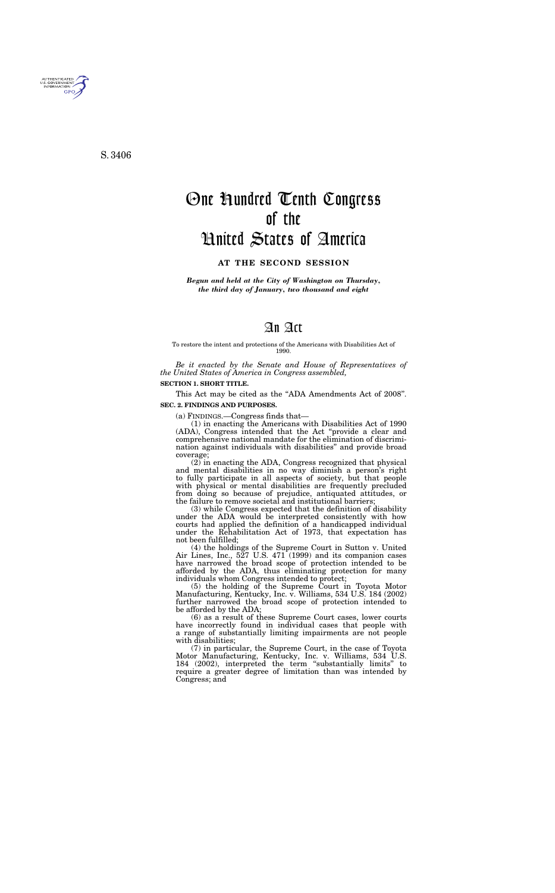*Begun and held at the City of Washington on Thursday, the third day of January, two thousand and eight* 

# An Act

To restore the intent and protections of the Americans with Disabilities Act of 1990.

*Be it enacted by the Senate and House of Representatives of the United States of America in Congress assembled,* 

### **SECTION 1. SHORT TITLE.**

This Act may be cited as the "ADA Amendments Act of 2008". **SEC. 2. FINDINGS AND PURPOSES.** 

(a) FINDINGS.—Congress finds that—

(1) in enacting the Americans with Disabilities Act of 1990 (ADA), Congress intended that the Act ''provide a clear and comprehensive national mandate for the elimination of discrimination against individuals with disabilities'' and provide broad coverage;

(2) in enacting the ADA, Congress recognized that physical and mental disabilities in no way diminish a person's right to fully participate in all aspects of society, but that people with physical or mental disabilities are frequently precluded from doing so because of prejudice, antiquated attitudes, or the failure to remove societal and institutional barriers;

(3) while Congress expected that the definition of disability under the ADA would be interpreted consistently with how courts had applied the definition of a handicapped individual under the Rehabilitation Act of 1973, that expectation has not been fulfilled;

(4) the holdings of the Supreme Court in Sutton v. United Air Lines, Inc., 527 U.S. 471 (1999) and its companion cases have narrowed the broad scope of protection intended to be afforded by the ADA, thus eliminating protection for many individuals whom Congress intended to protect;

(5) the holding of the Supreme Court in Toyota Motor Manufacturing, Kentucky, Inc. v. Williams, 534 U.S. 184 (2002) further narrowed the broad scope of protection intended to be afforded by the ADA;

(6) as a result of these Supreme Court cases, lower courts have incorrectly found in individual cases that people with a range of substantially limiting impairments are not people with disabilities;

(7) in particular, the Supreme Court, in the case of Toyota Motor Manufacturing, Kentucky, Inc. v. Williams, 534 U.S. 184 (2002), interpreted the term ''substantially limits'' to require a greater degree of limitation than was intended by Congress; and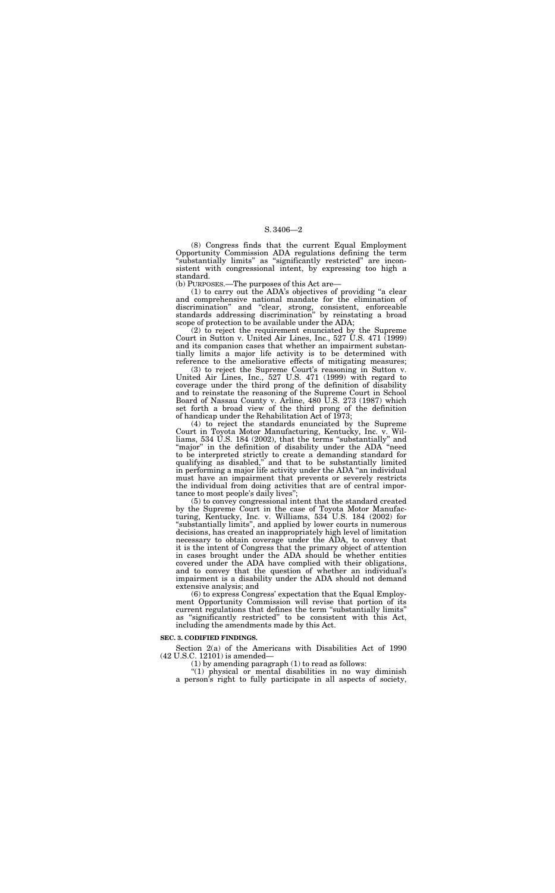(8) Congress finds that the current Equal Employment Opportunity Commission ADA regulations defining the term "substantially limits" as "significantly restricted" are inconsistent with congressional intent, by expressing too high a standard.

(b) PURPOSES.—The purposes of this Act are—

(1) to carry out the ADA's objectives of providing ''a clear and comprehensive national mandate for the elimination of discrimination'' and ''clear, strong, consistent, enforceable standards addressing discrimination'' by reinstating a broad scope of protection to be available under the ADA;

(2) to reject the requirement enunciated by the Supreme Court in Sutton v. United Air Lines, Inc., 527 U.S. 471 (1999) and its companion cases that whether an impairment substantially limits a major life activity is to be determined with reference to the ameliorative effects of mitigating measures;

(4) to reject the standards enunciated by the Supreme Court in Toyota Motor Manufacturing, Kentucky, Inc. v. Williams, 534 U.S. 184 (2002), that the terms ''substantially'' and "major" in the definition of disability under the ADA "need to be interpreted strictly to create a demanding standard for qualifying as disabled,'' and that to be substantially limited in performing a major life activity under the ADA "an individual must have an impairment that prevents or severely restricts the individual from doing activities that are of central importance to most people's daily lives'';

(3) to reject the Supreme Court's reasoning in Sutton v. United Air Lines, Inc., 527 U.S. 471 (1999) with regard to coverage under the third prong of the definition of disability and to reinstate the reasoning of the Supreme Court in School Board of Nassau County v. Arline, 480 U.S. 273 (1987) which set forth a broad view of the third prong of the definition of handicap under the Rehabilitation Act of 1973;

"(1) physical or mental disabilities in no way diminish a person's right to fully participate in all aspects of society,

(5) to convey congressional intent that the standard created by the Supreme Court in the case of Toyota Motor Manufacturing, Kentucky, Inc. v. Williams, 534 U.S. 184 (2002) for ''substantially limits'', and applied by lower courts in numerous decisions, has created an inappropriately high level of limitation necessary to obtain coverage under the ADA, to convey that it is the intent of Congress that the primary object of attention in cases brought under the ADA should be whether entities covered under the ADA have complied with their obligations, and to convey that the question of whether an individual's impairment is a disability under the ADA should not demand extensive analysis; and

(6) to express Congress' expectation that the Equal Employment Opportunity Commission will revise that portion of its current regulations that defines the term "substantially limits" as ''significantly restricted'' to be consistent with this Act, including the amendments made by this Act.

#### **SEC. 3. CODIFIED FINDINGS.**

Section 2(a) of the Americans with Disabilities Act of 1990 (42 U.S.C. 12101) is amended—

(1) by amending paragraph (1) to read as follows: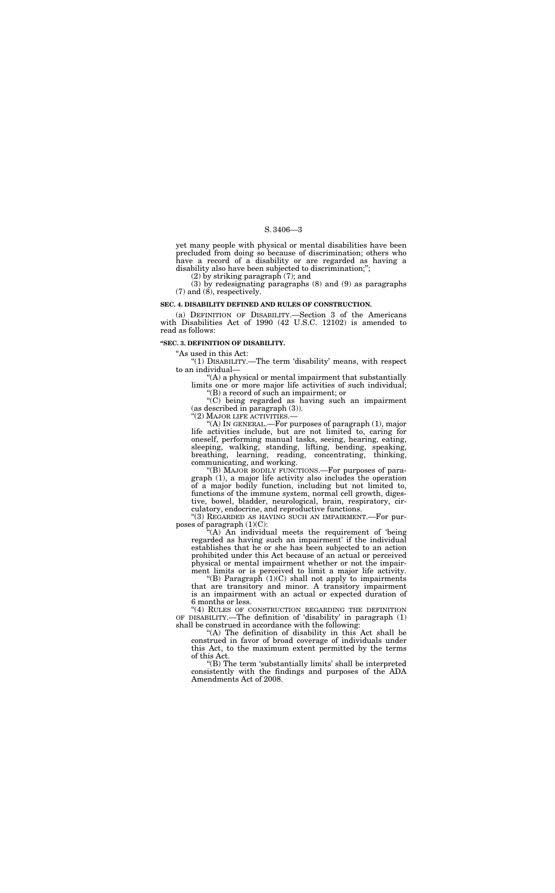yet many people with physical or mental disabilities have been precluded from doing so because of discrimination; others who have a record of a disability or are regarded as having a disability also have been subjected to discrimination;";

(2) by striking paragraph (7); and

(3) by redesignating paragraphs (8) and (9) as paragraphs (7) and (8), respectively.

#### **SEC. 4. DISABILITY DEFINED AND RULES OF CONSTRUCTION.**

(a) DEFINITION OF DISABILITY.—Section 3 of the Americans with Disabilities Act of 1990 (42 U.S.C. 12102) is amended to read as follows:

#### **''SEC. 3. DEFINITION OF DISABILITY.**

''As used in this Act:

''(1) DISABILITY.—The term 'disability' means, with respect to an individual—

''(A) a physical or mental impairment that substantially limits one or more major life activities of such individual;

"(B) MAJOR BODILY FUNCTIONS.—For purposes of paragraph (1), a major life activity also includes the operation of a major bodily function, including but not limited to, functions of the immune system, normal cell growth, digestive, bowel, bladder, neurological, brain, respiratory, circulatory, endocrine, and reproductive functions.

''(B) a record of such an impairment; or ''(C) being regarded as having such an impairment

(as described in paragraph (3)).

''(2) MAJOR LIFE ACTIVITIES.—

"(B) Paragraph  $(1)(C)$  shall not apply to impairments that are transitory and minor. A transitory impairment is an impairment with an actual or expected duration of 6 months or less.

''(A) IN GENERAL.—For purposes of paragraph (1), major life activities include, but are not limited to, caring for oneself, performing manual tasks, seeing, hearing, eating, sleeping, walking, standing, lifting, bending, speaking, breathing, learning, reading, concentrating, thinking, communicating, and working.

"(4) RULES OF CONSTRUCTION REGARDING THE DEFINITION OF DISABILITY.—The definition of 'disability' in paragraph (1) shall be construed in accordance with the following:

''(3) REGARDED AS HAVING SUCH AN IMPAIRMENT.—For purposes of paragraph (1)(C):

''(A) An individual meets the requirement of 'being regarded as having such an impairment' if the individual establishes that he or she has been subjected to an action prohibited under this Act because of an actual or perceived physical or mental impairment whether or not the impairment limits or is perceived to limit a major life activity.

''(A) The definition of disability in this Act shall be construed in favor of broad coverage of individuals under this Act, to the maximum extent permitted by the terms of this Act.

''(B) The term 'substantially limits' shall be interpreted consistently with the findings and purposes of the ADA Amendments Act of 2008.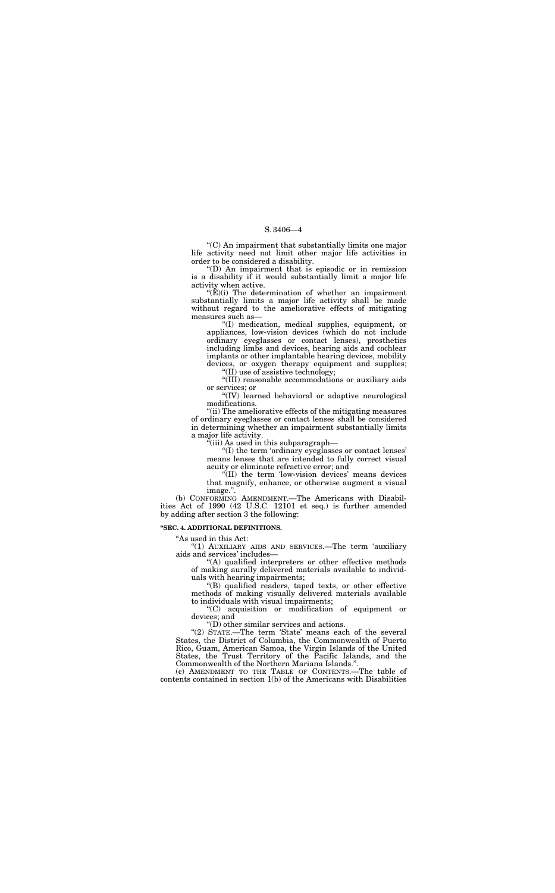''(C) An impairment that substantially limits one major life activity need not limit other major life activities in order to be considered a disability.

''(D) An impairment that is episodic or in remission is a disability if it would substantially limit a major life activity when active.

 $E(E)(i)$  The determination of whether an impairment substantially limits a major life activity shall be made without regard to the ameliorative effects of mitigating measures such as—

''(I) medication, medical supplies, equipment, or appliances, low-vision devices (which do not include ordinary eyeglasses or contact lenses), prosthetics including limbs and devices, hearing aids and cochlear implants or other implantable hearing devices, mobility devices, or oxygen therapy equipment and supplies;

''(II) use of assistive technology;

''(III) reasonable accommodations or auxiliary aids or services; or

''(IV) learned behavioral or adaptive neurological modifications.

"(A) qualified interpreters or other effective methods of making aurally delivered materials available to individuals with hearing impairments;

''(ii) The ameliorative effects of the mitigating measures of ordinary eyeglasses or contact lenses shall be considered in determining whether an impairment substantially limits a major life activity.

''(iii) As used in this subparagraph—

"(2) STATE.—The term 'State' means each of the several States, the District of Columbia, the Commonwealth of Puerto Rico, Guam, American Samoa, the Virgin Islands of the United States, the Trust Territory of the Pacific Islands, and the Commonwealth of the Northern Mariana Islands.''.

''(I) the term 'ordinary eyeglasses or contact lenses' means lenses that are intended to fully correct visual acuity or eliminate refractive error; and

''(II) the term 'low-vision devices' means devices that magnify, enhance, or otherwise augment a visual image.''.

(b) CONFORMING AMENDMENT.—The Americans with Disabilities Act of 1990 (42 U.S.C. 12101 et seq.) is further amended by adding after section 3 the following:

#### **''SEC. 4. ADDITIONAL DEFINITIONS.**

"As used in this Act:

''(1) AUXILIARY AIDS AND SERVICES.—The term 'auxiliary aids and services' includes—

''(B) qualified readers, taped texts, or other effective methods of making visually delivered materials available to individuals with visual impairments;

''(C) acquisition or modification of equipment or devices; and

''(D) other similar services and actions.

(c) AMENDMENT TO THE TABLE OF CONTENTS.—The table of contents contained in section 1(b) of the Americans with Disabilities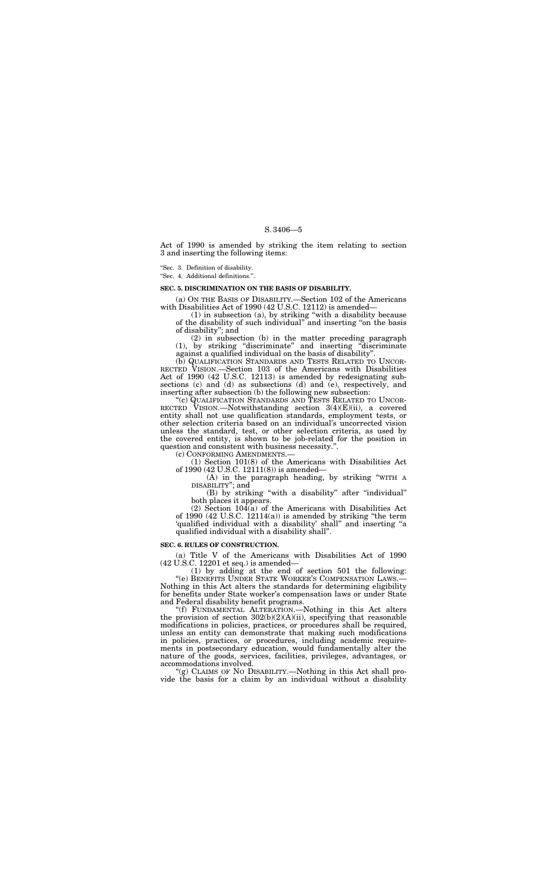Act of 1990 is amended by striking the item relating to section 3 and inserting the following items:

(a) ON THE BASIS OF DISABILITY.—Section 102 of the Americans with Disabilities Act of 1990 (42 U.S.C. 12112) is amended-

''Sec. 3. Definition of disability.

''Sec. 4. Additional definitions.''.

### **SEC. 5. DISCRIMINATION ON THE BASIS OF DISABILITY.**

(1) in subsection (a), by striking ''with a disability because of the disability of such individual'' and inserting ''on the basis of disability''; and

(2) in subsection (b) in the matter preceding paragraph (1), by striking ''discriminate'' and inserting ''discriminate against a qualified individual on the basis of disability''.

(b) QUALIFICATION STANDARDS AND TESTS RELATED TO UNCOR- RECTED VISION.—Section 103 of the Americans with Disabilities Act of 1990 (42 U.S.C. 12113) is amended by redesignating subsections (c) and (d) as subsections (d) and (e), respectively, and inserting after subsection (b) the following new subsection:

 $(2)$  Section  $104(a)$  of the Americans with Disabilities Act of 1990 (42 U.S.C. 12114(a)) is amended by striking ''the term 'qualified individual with a disability' shall'' and inserting ''a qualified individual with a disability shall''.

''(c) QUALIFICATION STANDARDS AND TESTS RELATED TO UNCOR-RECTED VISION.—Notwithstanding section 3(4)(E)(ii), a covered entity shall not use qualification standards, employment tests, or other selection criteria based on an individual's uncorrected vision unless the standard, test, or other selection criteria, as used by the covered entity, is shown to be job-related for the position in question and consistent with business necessity.''.

"(g) CLAIMS OF NO DISABILITY.—Nothing in this Act shall provide the basis for a claim by an individual without a disability

(c) CONFORMING AMENDMENTS.— (1) Section 101(8) of the Americans with Disabilities Act of 1990 (42 U.S.C. 12111(8)) is amended—

(A) in the paragraph heading, by striking ''WITH A DISABILITY''; and

(B) by striking ''with a disability'' after ''individual'' both places it appears.

#### **SEC. 6. RULES OF CONSTRUCTION.**

(a) Title V of the Americans with Disabilities Act of 1990 (42 U.S.C. 12201 et seq.) is amended—

(1) by adding at the end of section 501 the following: ''(e) BENEFITS UNDER STATE WORKER'S COMPENSATION LAWS.— Nothing in this Act alters the standards for determining eligibility for benefits under State worker's compensation laws or under State and Federal disability benefit programs.

''(f) FUNDAMENTAL ALTERATION.—Nothing in this Act alters the provision of section  $302(b)(2)(A)(ii)$ , specifying that reasonable modifications in policies, practices, or procedures shall be required, unless an entity can demonstrate that making such modifications in policies, practices, or procedures, including academic requirements in postsecondary education, would fundamentally alter the nature of the goods, services, facilities, privileges, advantages, or accommodations involved.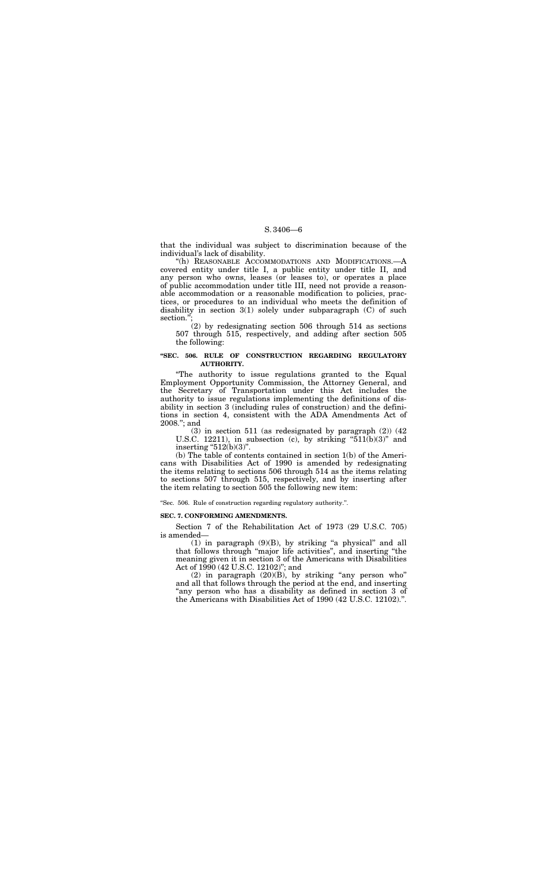''(h) REASONABLE ACCOMMODATIONS AND MODIFICATIONS.—A covered entity under title I, a public entity under title II, and any person who owns, leases (or leases to), or operates a place of public accommodation under title III, need not provide a reasonable accommodation or a reasonable modification to policies, practices, or procedures to an individual who meets the definition of disability in section 3(1) solely under subparagraph (C) of such section.'

that the individual was subject to discrimination because of the individual's lack of disability.

(3) in section 511 (as redesignated by paragraph (2)) (42 U.S.C. 12211), in subsection (c), by striking " $511(b)(3)$ " and inserting " $512(b)(3)$ ".

(2) by redesignating section 506 through 514 as sections 507 through 515, respectively, and adding after section 505 the following:

### **''SEC. 506. RULE OF CONSTRUCTION REGARDING REGULATORY AUTHORITY.**

''The authority to issue regulations granted to the Equal Employment Opportunity Commission, the Attorney General, and the Secretary of Transportation under this Act includes the authority to issue regulations implementing the definitions of disability in section 3 (including rules of construction) and the definitions in section 4, consistent with the ADA Amendments Act of 2008.''; and

 $(1)$  in paragraph  $(9)(B)$ , by striking "a physical" and all that follows through ''major life activities'', and inserting ''the meaning given it in section 3 of the Americans with Disabilities Act of 1990 (42 U.S.C. 12102)''; and

(b) The table of contents contained in section 1(b) of the Americans with Disabilities Act of 1990 is amended by redesignating the items relating to sections 506 through 514 as the items relating to sections 507 through 515, respectively, and by inserting after the item relating to section 505 the following new item:

''Sec. 506. Rule of construction regarding regulatory authority.''.

#### **SEC. 7. CONFORMING AMENDMENTS.**

Section 7 of the Rehabilitation Act of 1973 (29 U.S.C. 705) is amended—

(2) in paragraph (20)(B), by striking ''any person who'' and all that follows through the period at the end, and inserting "any person who has a disability as defined in section 3 of the Americans with Disabilities Act of 1990 (42 U.S.C. 12102).''.